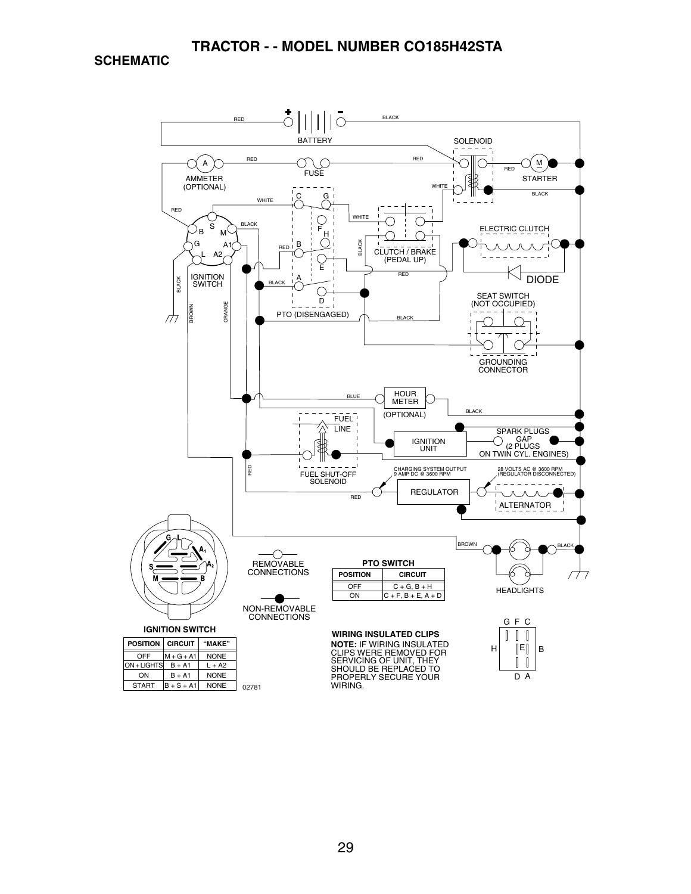**SCHEMATIC**

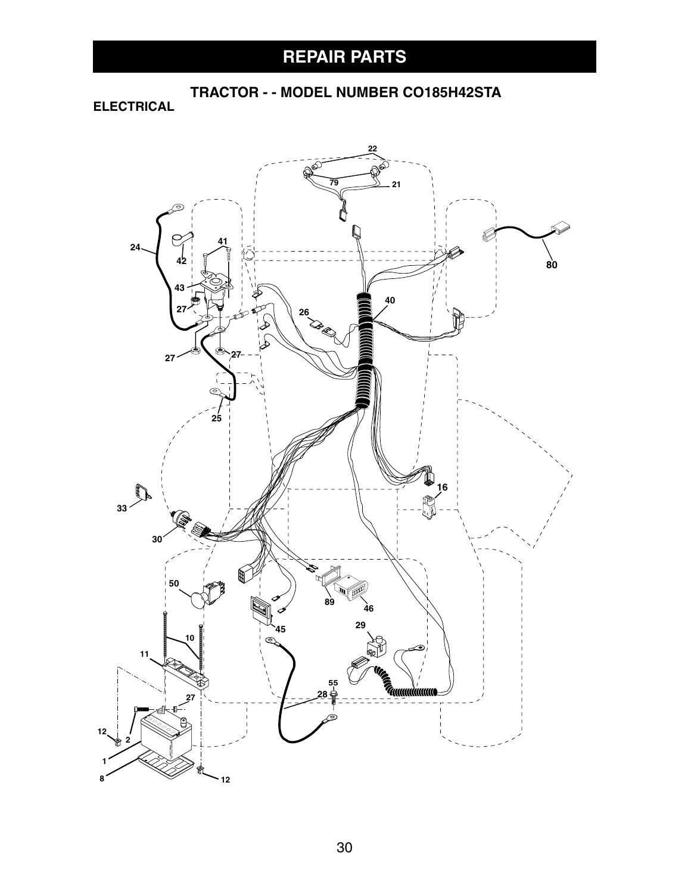**ELECTRICAL**

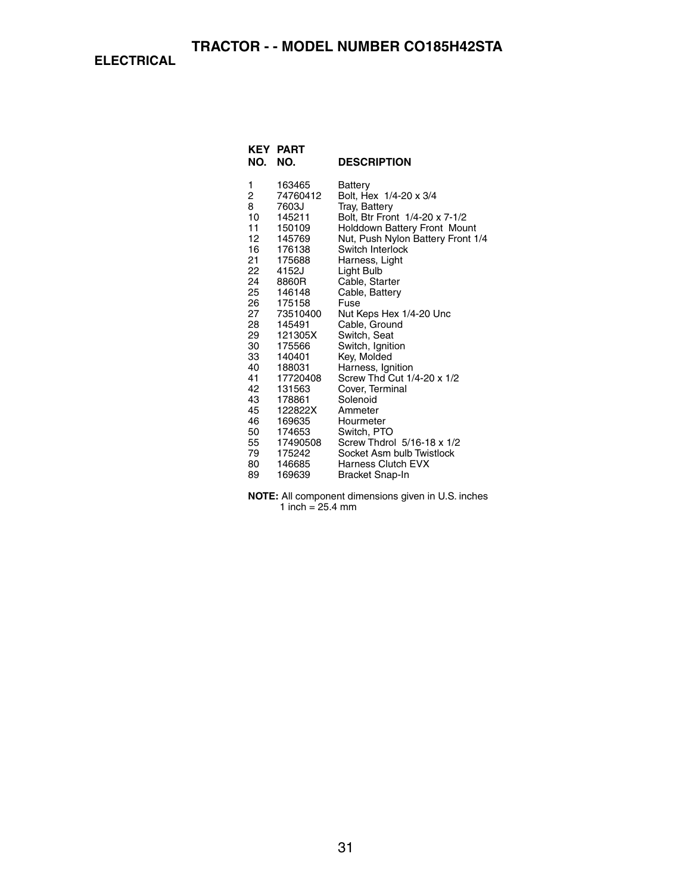**ELECTRICAL**

| NO.                                                                                                                                                         | <b>KEY PART</b><br>NO.                                                                                                                                                                                                                                                            | <b>DESCRIPTION</b>                                                                                                                                                                                                                                                                                                                                                                                                                                                                                                                                                        |
|-------------------------------------------------------------------------------------------------------------------------------------------------------------|-----------------------------------------------------------------------------------------------------------------------------------------------------------------------------------------------------------------------------------------------------------------------------------|---------------------------------------------------------------------------------------------------------------------------------------------------------------------------------------------------------------------------------------------------------------------------------------------------------------------------------------------------------------------------------------------------------------------------------------------------------------------------------------------------------------------------------------------------------------------------|
| 1<br>2<br>8<br>10<br>11<br>12<br>16<br>21<br>22<br>24<br>25<br>26<br>27<br>28<br>29<br>30<br>33<br>40<br>41<br>42<br>43<br>45<br>46<br>50<br>55<br>79<br>80 | 163465<br>74760412<br>7603J<br>145211<br>150109<br>145769<br>176138<br>175688<br>4152J<br>8860R<br>146148<br>175158<br>73510400<br>145491<br>121305X<br>175566<br>140401<br>188031<br>17720408<br>131563<br>178861<br>122822X<br>169635<br>174653<br>17490508<br>175242<br>146685 | Battery<br>Bolt, Hex 1/4-20 x 3/4<br>Tray, Battery<br>Bolt, Btr Front 1/4-20 x 7-1/2<br><b>Holddown Battery Front Mount</b><br>Nut, Push Nylon Battery Front 1/4<br>Switch Interlock<br>Harness, Light<br>Light Bulb<br>Cable, Starter<br>Cable, Battery<br>Fuse<br>Nut Keps Hex 1/4-20 Unc<br>Cable, Ground<br>Switch, Seat<br>Switch, Ignition<br>Key, Molded<br>Harness, Ignition<br>Screw Thd Cut 1/4-20 x 1/2<br>Cover, Terminal<br>Solenoid<br>Ammeter<br>Hourmeter<br>Switch, PTO<br>Screw Thdrol 5/16-18 x 1/2<br>Socket Asm bulb Twistlock<br>Harness Clutch EVX |
| 89                                                                                                                                                          | 169639                                                                                                                                                                                                                                                                            | Bracket Snap-In                                                                                                                                                                                                                                                                                                                                                                                                                                                                                                                                                           |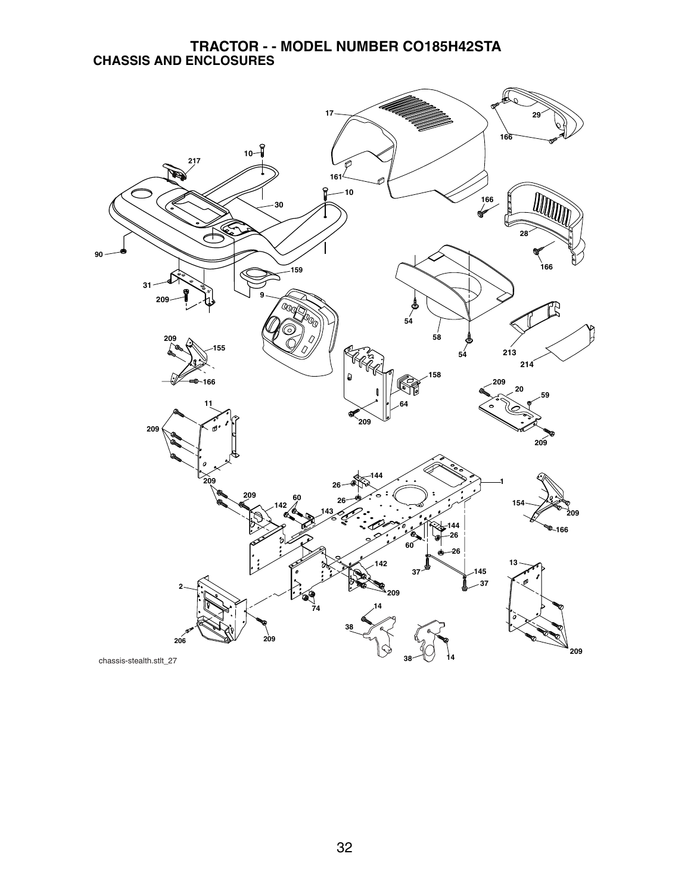#### **TRACTOR - - MODEL NUMBER CO185H42STA CHASSIS AND ENCLOSURES**

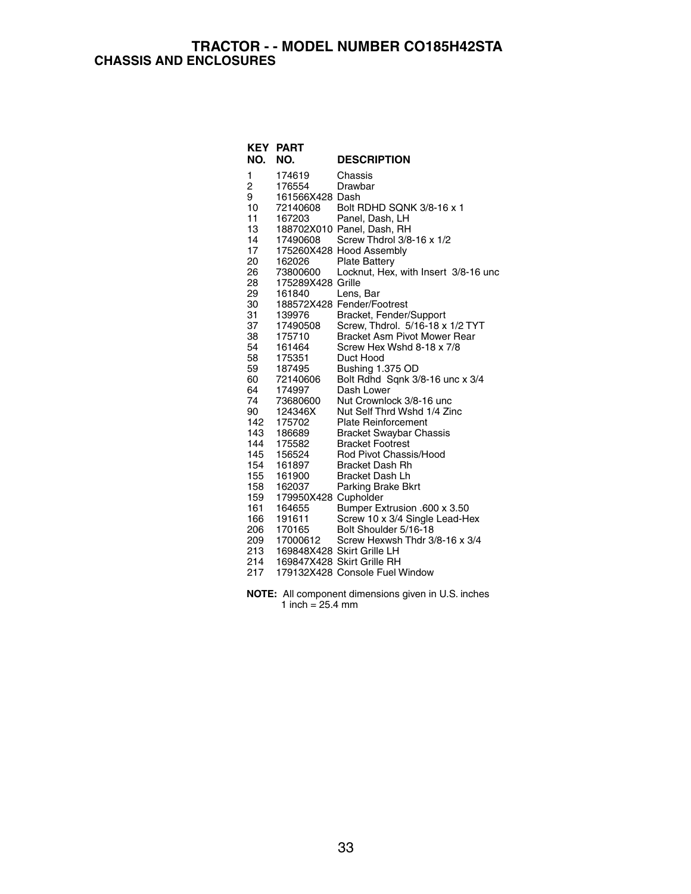#### **TRACTOR - - MODEL NUMBER CO185H42STA CHASSIS AND ENCLOSURES**

| KEY | <b>PART</b>          |                                      |
|-----|----------------------|--------------------------------------|
| NO. | NO.                  | <b>DESCRIPTION</b>                   |
| 1   | 174619               | Chassis                              |
| 2   | 176554               | Drawbar                              |
| 9   | 161566X428 Dash      |                                      |
| 10  | 72140608             | Bolt RDHD SQNK 3/8-16 x 1            |
| 11  | 167203               | Panel, Dash, LH                      |
| 13  |                      | 188702X010 Panel, Dash, RH           |
| 14  | 17490608             | Screw Thdrol 3/8-16 x 1/2            |
| 17  |                      | 175260X428 Hood Assembly             |
| 20  | 162026               | <b>Plate Battery</b>                 |
| 26  | 73800600             | Locknut, Hex, with Insert 3/8-16 unc |
| 28  | 175289X428 Grille    |                                      |
| 29  | 161840               | Lens, Bar                            |
| 30  |                      | 188572X428 Fender/Footrest           |
| 31  | 139976               | Bracket, Fender/Support              |
| 37  | 17490508             | Screw, Thdrol. 5/16-18 x 1/2 TYT     |
| 38  | 175710               | <b>Bracket Asm Pivot Mower Rear</b>  |
| 54  | 161464               | Screw Hex Wshd 8-18 x 7/8            |
| 58  | 175351               | Duct Hood                            |
| 59  | 187495               | Bushing 1.375 OD                     |
| 60  | 72140606             | Bolt Rdhd Sqnk 3/8-16 unc x 3/4      |
| 64  | 174997               | Dash Lower                           |
| 74  | 73680600             | Nut Crownlock 3/8-16 unc             |
| 90  | 124346X              | Nut Self Thrd Wshd 1/4 Zinc          |
| 142 | 175702               | <b>Plate Reinforcement</b>           |
| 143 | 186689               | <b>Bracket Swaybar Chassis</b>       |
| 144 | 175582               | <b>Bracket Footrest</b>              |
| 145 | 156524               | Rod Pivot Chassis/Hood               |
| 154 | 161897               | <b>Bracket Dash Rh</b>               |
| 155 | 161900               | <b>Bracket Dash Lh</b>               |
| 158 | 162037               | Parking Brake Bkrt                   |
| 159 | 179950X428 Cupholder |                                      |
| 161 | 164655               | Bumper Extrusion .600 x 3.50         |
| 166 | 191611               | Screw 10 x 3/4 Single Lead-Hex       |
| 206 | 170165               | Bolt Shoulder 5/16-18                |
| 209 | 17000612             | Screw Hexwsh Thdr 3/8-16 x 3/4       |
| 213 |                      | 169848X428 Skirt Grille LH           |
| 214 |                      | 169847X428 Skirt Grille RH           |
| 217 |                      | 179132X428 Console Fuel Window       |

**NOTE:** All component dimensions given in U.S. inches 1 inch = 25.4 mm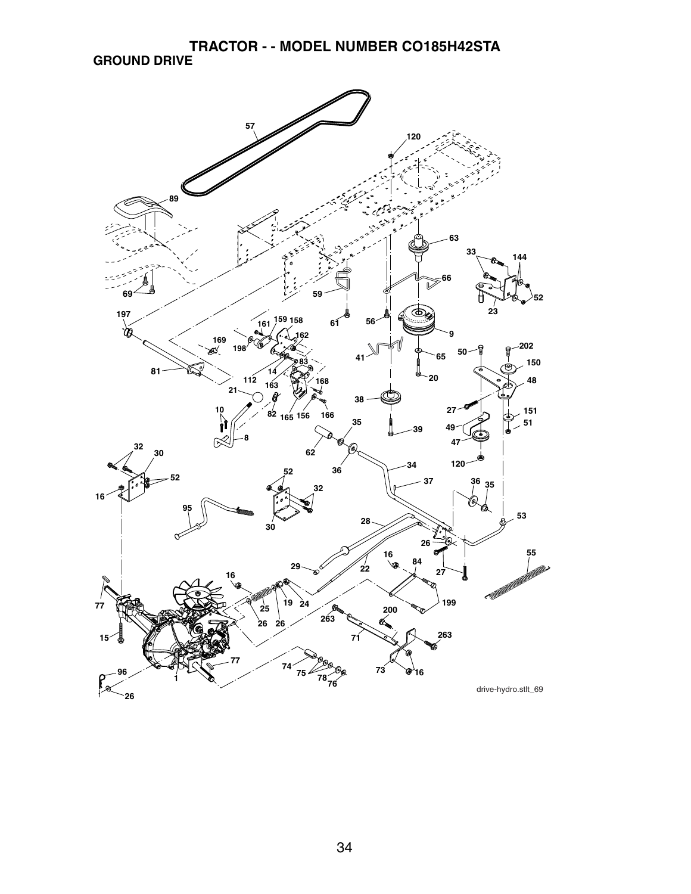**TRACTOR - - MODEL NUMBER CO185H42STA GROUND DRIVE**

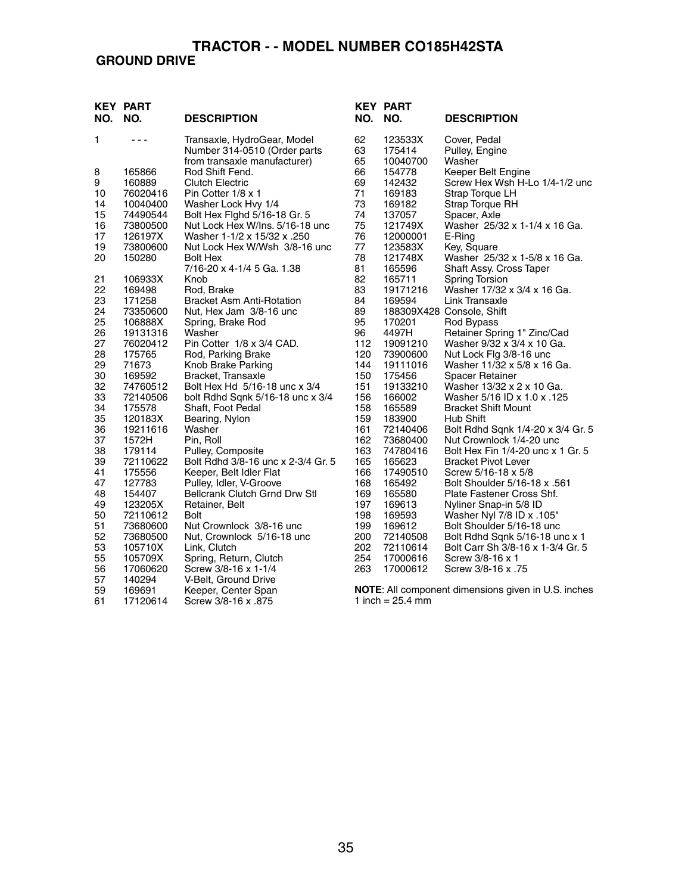## **GROUND DRIVE**

| NO.      | <b>KEY PART</b><br>NO. | <b>DESCRIPTION</b>                                          | NO.        | <b>KEY PART</b><br>NO.     | <b>DESCRIPTION</b>                                         |
|----------|------------------------|-------------------------------------------------------------|------------|----------------------------|------------------------------------------------------------|
| 1        | $  -$                  | Transaxle, HydroGear, Model<br>Number 314-0510 (Order parts | 62<br>63   | 123533X<br>175414          | Cover, Pedal<br>Pulley, Engine                             |
|          |                        | from transaxle manufacturer)                                | 65         | 10040700                   | Washer                                                     |
| 8        | 165866                 | Rod Shift Fend.                                             | 66         | 154778                     | Keeper Belt Engine                                         |
| 9        | 160889                 | <b>Clutch Electric</b>                                      | 69         | 142432                     | Screw Hex Wsh H-Lo 1/4-1/2 unc                             |
| 10       | 76020416               | Pin Cotter 1/8 x 1                                          | 71         | 169183                     | Strap Torque LH                                            |
| 14       | 10040400               | Washer Lock Hvy 1/4                                         | 73         | 169182                     | Strap Torque RH                                            |
| 15       | 74490544               | Bolt Hex Fighd 5/16-18 Gr. 5                                | 74         | 137057                     | Spacer, Axle                                               |
| 16       | 73800500               | Nut Lock Hex W/Ins. 5/16-18 unc                             | 75         | 121749X                    | Washer 25/32 x 1-1/4 x 16 Ga.                              |
| 17       | 126197X                | Washer 1-1/2 x 15/32 x .250                                 | 76         | 12000001                   | E-Ring                                                     |
| 19       | 73800600               | Nut Lock Hex W/Wsh 3/8-16 unc                               | 77         | 123583X                    | Key, Square                                                |
| 20       | 150280                 | <b>Bolt Hex</b>                                             | 78         | 121748X                    | Washer 25/32 x 1-5/8 x 16 Ga.                              |
|          |                        | 7/16-20 x 4-1/4 5 Ga. 1.38                                  | 81         | 165596                     | Shaft Assy. Cross Taper                                    |
| 21<br>22 | 106933X                | Knob                                                        | 82<br>83   | 165711<br>19171216         | <b>Spring Torsion</b><br>Washer 17/32 x 3/4 x 16 Ga.       |
| 23       | 169498<br>171258       | Rod, Brake<br><b>Bracket Asm Anti-Rotation</b>              | 84         | 169594                     | Link Transaxle                                             |
| 24       | 73350600               | Nut, Hex Jam 3/8-16 unc                                     | 89         |                            | 188309X428 Console, Shift                                  |
| 25       | 106888X                | Spring, Brake Rod                                           | 95         | 170201                     | Rod Bypass                                                 |
| 26       | 19131316               | Washer                                                      | 96         | 4497H                      | Retainer Spring 1" Zinc/Cad                                |
| 27       | 76020412               | Pin Cotter 1/8 x 3/4 CAD.                                   | 112        | 19091210                   | Washer 9/32 x 3/4 x 10 Ga.                                 |
| 28       | 175765                 | Rod, Parking Brake                                          | 120        | 73900600                   | Nut Lock Flg 3/8-16 unc                                    |
| 29       | 71673                  | Knob Brake Parking                                          | 144        | 19111016                   | Washer 11/32 x 5/8 x 16 Ga.                                |
| 30       | 169592                 | Bracket, Transaxle                                          | 150        | 175456                     | <b>Spacer Retainer</b>                                     |
| 32       | 74760512               | Bolt Hex Hd 5/16-18 unc x 3/4                               | 151        | 19133210                   | Washer 13/32 x 2 x 10 Ga.                                  |
| 33       | 72140506               | bolt Rdhd Sqnk 5/16-18 unc x 3/4                            | 156        | 166002                     | 125. Washer 5/16 ID x 1.0 x                                |
| 34       | 175578                 | Shaft, Foot Pedal                                           | 158        | 165589                     | <b>Bracket Shift Mount</b>                                 |
| 35<br>36 | 120183X<br>19211616    | Bearing, Nylon<br>Washer                                    | 159<br>161 | 183900<br>72140406         | Hub Shift<br>Bolt Rdhd Sqnk 1/4-20 x 3/4 Gr. 5             |
| 37       | 1572H                  | Pin, Roll                                                   | 162        | 73680400                   | Nut Crownlock 1/4-20 unc                                   |
| 38       | 179114                 | Pulley, Composite                                           | 163        | 74780416                   | Bolt Hex Fin 1/4-20 unc x 1 Gr. 5                          |
| 39       | 72110622               | Bolt Rdhd 3/8-16 unc x 2-3/4 Gr. 5                          | 165        | 165623                     | <b>Bracket Pivot Lever</b>                                 |
| 41       | 175556                 | Keeper, Belt Idler Flat                                     | 166        | 17490510                   | Screw 5/16-18 x 5/8                                        |
| 47       | 127783                 | Pulley, Idler, V-Groove                                     | 168        | 165492                     | Bolt Shoulder 5/16-18 x .561                               |
| 48       | 154407                 | <b>Bellcrank Clutch Grnd Drw Stl</b>                        | 169        | 165580                     | Plate Fastener Cross Shf.                                  |
| 49       | 123205X                | Retainer, Belt                                              | 197        | 169613                     | Nyliner Snap-in 5/8 ID                                     |
| 50       | 72110612               | Bolt                                                        | 198        | 169593                     | Washer Nyl 7/8 ID x .105"                                  |
| 51       | 73680600               | Nut Crownlock 3/8-16 unc                                    | 199        | 169612                     | Bolt Shoulder 5/16-18 unc                                  |
| 52       | 73680500               | Nut, Crownlock 5/16-18 unc                                  | 200        | 72140508                   | Bolt Rdhd Sqnk 5/16-18 unc x 1                             |
| 53       | 105710X                | Link, Clutch                                                | 202<br>254 | 72110614                   | Bolt Carr Sh 3/8-16 x 1-3/4 Gr. 5                          |
| 55<br>56 | 105709X<br>17060620    | Spring, Return, Clutch<br>Screw 3/8-16 x 1-1/4              | 263        | 17000616<br>17000612       | Screw 3/8-16 x 1<br>Screw 3/8-16 x .75                     |
| 57       | 140294                 | V-Belt, Ground Drive                                        |            |                            |                                                            |
| 59       | 169691                 | Keeper, Center Span                                         |            |                            | <b>NOTE:</b> All component dimensions given in U.S. inches |
| 61       | 17120614               | 875. Screw 3/8-16 x                                         |            | 1 inch = $25.4 \text{ mm}$ |                                                            |
|          |                        |                                                             |            |                            |                                                            |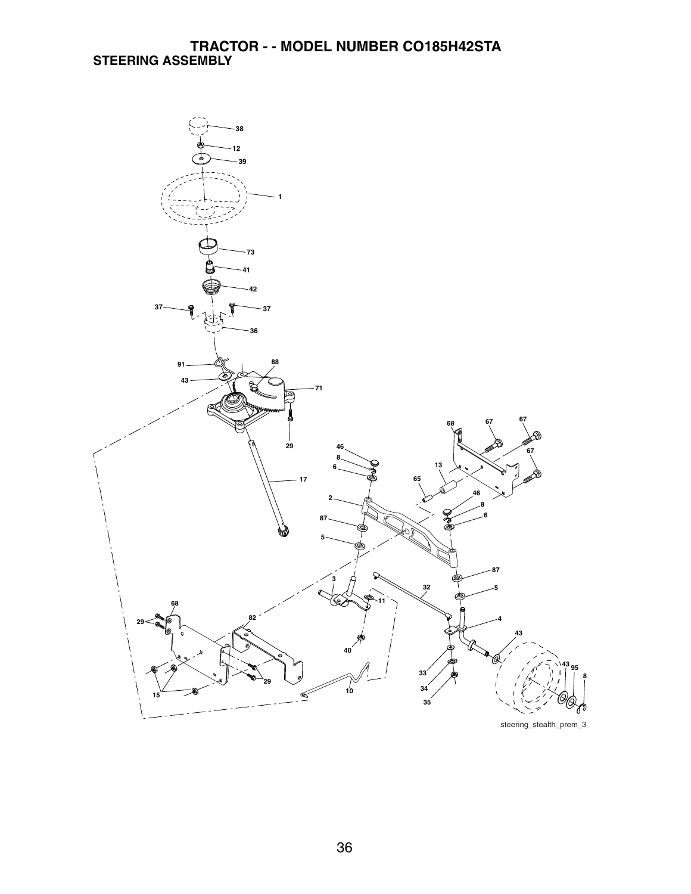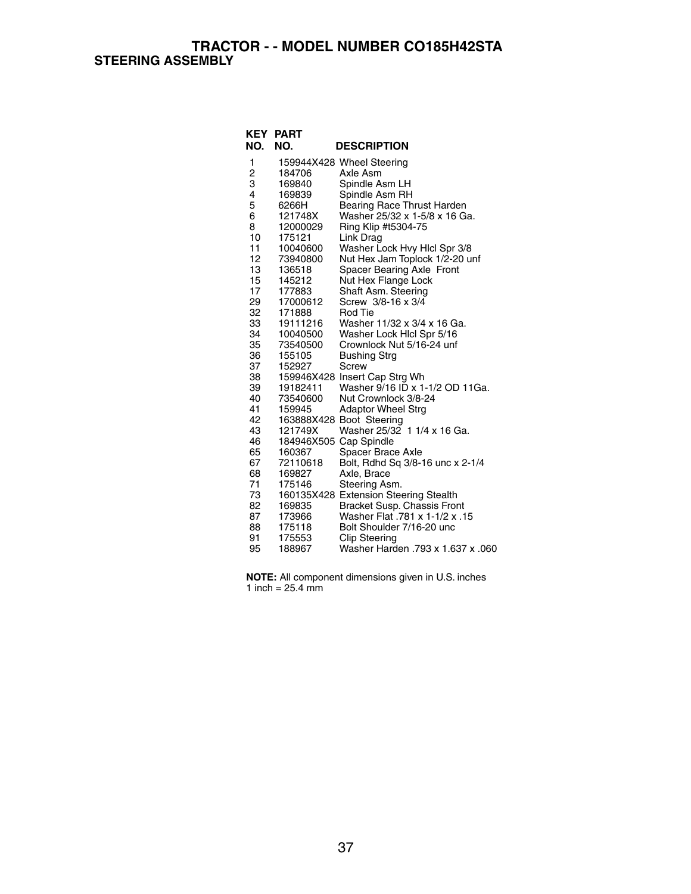**TRACTOR - - MODEL NUMBER CO185H42STA STEERING ASSEMBLY**

| NO.            | <b>KEY PART</b><br>NO.           | <b>DESCRIPTION</b>                                    |
|----------------|----------------------------------|-------------------------------------------------------|
| 1              |                                  | 159944X428 Wheel Steering                             |
| $\overline{c}$ | 184706                           | Axle Asm                                              |
| 3              | 169840                           | Spindle Asm LH                                        |
| 4              | 169839                           | Spindle Asm RH                                        |
| 5              | 6266H                            | Bearing Race Thrust Harden                            |
| 6              | 121748X                          | Washer 25/32 x 1-5/8 x 16 Ga.                         |
| 8              | 12000029                         | Ring Klip #t5304-75                                   |
| 10             | 175121                           | Link Drag                                             |
| 11             | 10040600                         | Washer Lock Hvy Hicl Spr 3/8                          |
| 12             | 73940800                         | Nut Hex Jam Toplock 1/2-20 unf                        |
| 13             | 136518                           | Spacer Bearing Axle Front                             |
| 15             | 145212                           | Nut Hex Flange Lock                                   |
| 17             | 177883                           | Shaft Asm. Steering                                   |
| 29             | 17000612                         | Screw 3/8-16 x 3/4                                    |
| 32             | 171888                           | Rod Tie                                               |
| 33             | 19111216                         | Washer 11/32 x 3/4 x 16 Ga.                           |
| 34             | 10040500                         | Washer Lock Hicl Spr 5/16                             |
| 35             | 73540500                         | Crownlock Nut 5/16-24 unf                             |
| 36             | 155105                           | <b>Bushing Strg</b>                                   |
| 37             | 152927                           | Screw                                                 |
| 38             |                                  | 159946X428 Insert Cap Strg Wh                         |
| 39             | 19182411                         | Washer 9/16 ID x 1-1/2 OD 11Ga.                       |
| 40             | 73540600                         | Nut Crownlock 3/8-24                                  |
| 41             | 159945                           | <b>Adaptor Wheel Strg</b>                             |
| 42             |                                  | 163888X428 Boot Steering                              |
| 43<br>46       | 121749X                          | Washer 25/32 1 1/4 x 16 Ga.                           |
| 65             | 184946X505 Cap Spindle<br>160367 |                                                       |
| 67             | 72110618                         | Spacer Brace Axle<br>Bolt, Rdhd Sq 3/8-16 unc x 2-1/4 |
| 68             | 169827                           | Axle, Brace                                           |
| 71             | 175146                           | Steering Asm.                                         |
| 73             |                                  | 160135X428 Extension Steering Stealth                 |
| 82             | 169835                           | Bracket Susp. Chassis Front                           |
| 87             | 173966                           | 15. Washer Flat .781 x 1-1/2 x                        |
| 88             | 175118                           | Bolt Shoulder 7/16-20 unc                             |
| 91             | 175553                           | <b>Clip Steering</b>                                  |
| 95             | 188967                           | Washer Harden .793 x 1.637 x .060                     |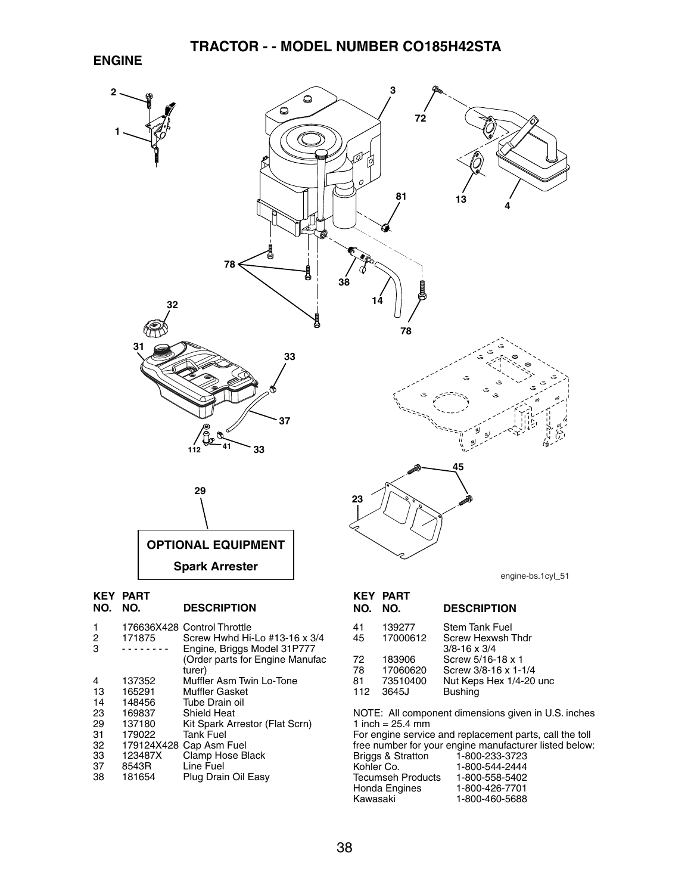#### **ENGINE**



165291 Muffler Gasket<br>148456 Tube Drain oil

- 14 148456 Tube Drain oil<br>23 169837 Shield Heat
- 23 169837 Shield Heat
- 29 137180 Kit Spark Arrestor (Flat Scrn)<br>31 179022 Tank Fuel
- 31 179022 Tank Fuel<br>32 179124X428 Cap Asm
- 32 179124X428 Cap Asm Fuel<br>33 123487X Clamp Hose B
- 33 123487X Clamp Hose Black<br>37 8543R Line Fuel
- 37 8543R Line Fuel Plug Drain Oil Easy

| NU.      | NU.                  | <b>DESCRIPTION</b>                              |
|----------|----------------------|-------------------------------------------------|
| 41<br>45 | 139277<br>17000612   | <b>Stem Tank Fuel</b><br>Screw Hexwsh Thdr      |
| 72       | 183906               | $3/8 - 16 \times 3/4$<br>Screw 5/16-18 x 1      |
| 78<br>81 | 17060620<br>73510400 | Screw 3/8-16 x 1-1/4<br>Nut Keps Hex 1/4-20 unc |
| 112      | 3645J                | <b>Bushing</b>                                  |

NOTE: All component dimensions given in U.S. inches 1 inch =  $25.4$  mm

For engine service and replacement parts, call the toll free number for your engine manufacturer listed below: Briggs & Stratton<br>Kohler Co. 1-800-544-2444<br>1-800-558-5402 Tecumseh Products<br>Honda Engines Honda Engines 1-800-426-7701 1-800-460-5688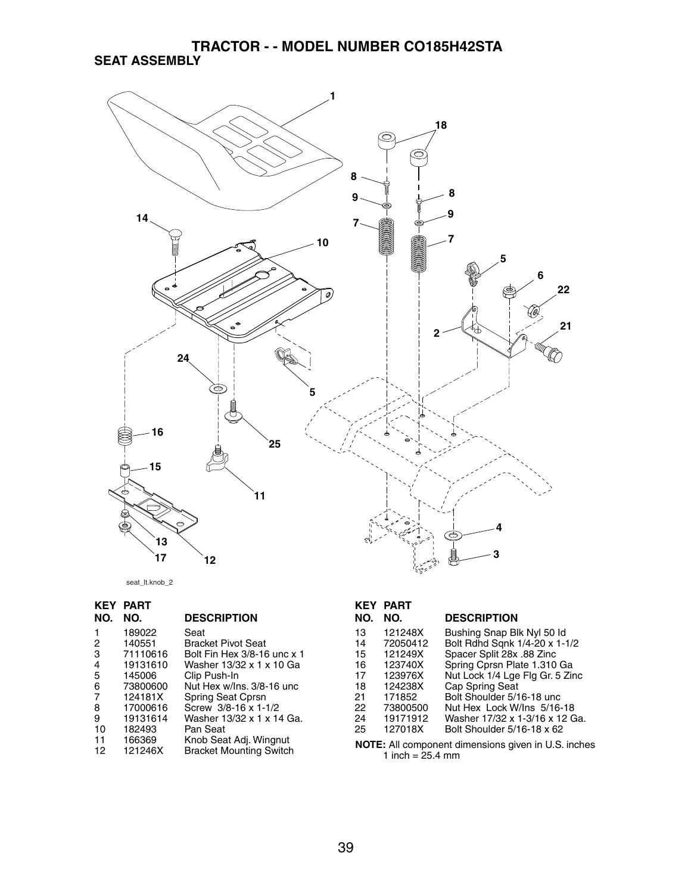## **TRACTOR - - MODEL NUMBER CO185H42STA SEAT ASSEMBLY**



seat\_lt.knob\_2

| KEY            | <b>PART</b> |                                |
|----------------|-------------|--------------------------------|
| NO.            | NO.         | <b>DESCRIPTION</b>             |
| 1              | 189022      | Seat                           |
| 2              | 140551      | <b>Bracket Pivot Seat</b>      |
| 3              | 71110616    | Bolt Fin Hex 3/8-16 unc x 1    |
| 4              | 19131610    | Washer 13/32 x 1 x 10 Ga       |
| 5              | 145006      | Clip Push-In                   |
| 6              | 73800600    | Nut Hex w/Ins. 3/8-16 unc      |
| $\overline{7}$ | 124181X     | Spring Seat Cprsn              |
| 8              | 17000616    | Screw 3/8-16 x 1-1/2           |
| 9              | 19131614    | Washer 13/32 x 1 x 14 Ga.      |
| 10             | 182493      | Pan Seat                       |
| 11             | 166369      | Knob Seat Adj. Wingnut         |
| 12             | 121246X     | <b>Bracket Mounting Switch</b> |

## **KEY PART**

| NO. | NO.      | <b>DESCRIPTION</b>              |
|-----|----------|---------------------------------|
| 13  | 121248X  | Bushing Snap Blk Nyl 50 ld      |
| 14  | 72050412 | Bolt Rdhd Sqnk 1/4-20 x 1-1/2   |
| 15  | 121249X  | Spacer Split 28x .88 Zinc       |
| 16  | 123740X  | Spring Cprsn Plate 1.310 Ga     |
| 17  | 123976X  | Nut Lock 1/4 Lge Flg Gr. 5 Zinc |
| 18  | 124238X  | Cap Spring Seat                 |
| 21  | 171852   | Bolt Shoulder 5/16-18 unc       |
| 22  | 73800500 | Nut Hex Lock W/Ins 5/16-18      |
| 24  | 19171912 | Washer 17/32 x 1-3/16 x 12 Ga.  |
| 25  | 127018X  | Bolt Shoulder 5/16-18 x 62      |
|     |          |                                 |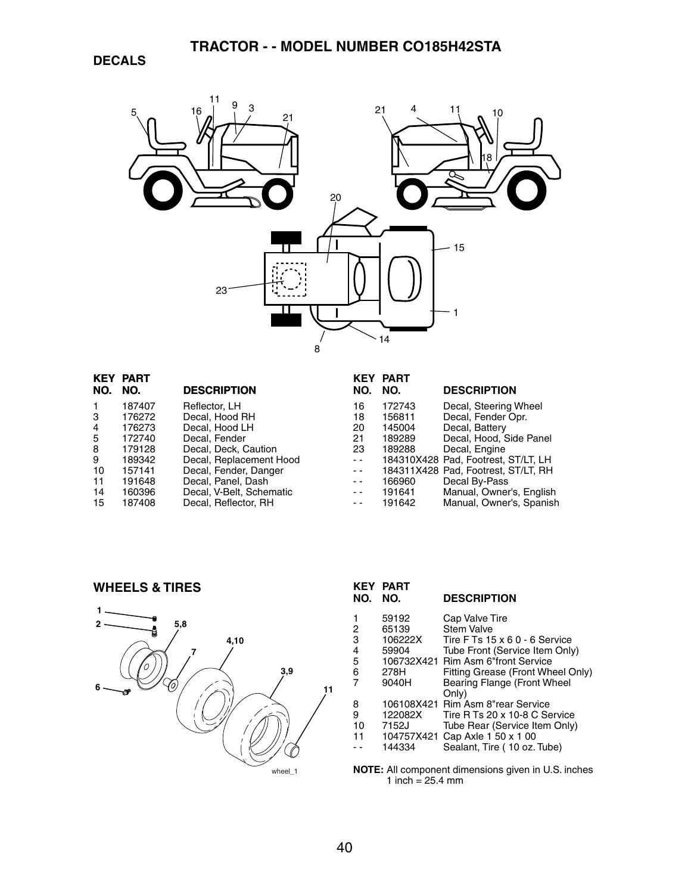

| KEY | <b>PART</b> |                          | KEY                                      | <b>PART</b> |                                     |
|-----|-------------|--------------------------|------------------------------------------|-------------|-------------------------------------|
| NO. | NO.         | <b>DESCRIPTION</b>       | NO.                                      | NO.         | <b>DESCRIPTION</b>                  |
|     | 187407      | Reflector, LH            | 16                                       | 172743      | Decal, Steering Wheel               |
| 3   | 176272      | Decal, Hood RH           | 18                                       | 156811      | Decal, Fender Opr.                  |
| 4   | 176273      | Decal, Hood LH           | 20                                       | 145004      | Decal, Battery                      |
| 5   | 172740      | Decal. Fender            | 21                                       | 189289      | Decal, Hood, Side Panel             |
| 8   | 179128      | Decal, Deck, Caution     | 23                                       | 189288      | Decal, Engine                       |
| 9   | 189342      | Decal, Replacement Hood  | $\frac{1}{2}$                            |             | 184310X428 Pad. Footrest. ST/LT. LH |
| 10  | 157141      | Decal, Fender, Danger    | $\frac{1}{2} \left( \frac{1}{2} \right)$ |             | 184311X428 Pad, Footrest, ST/LT, RH |
| 11  | 191648      | Decal, Panel, Dash       | $ -$                                     | 166960      | Decal By-Pass                       |
| 14  | 160396      | Decal, V-Belt, Schematic | $\sim$ $\sim$                            | 191641      | Manual, Owner's, English            |
| 15  | 187408      | Decal, Reflector, RH     | $ -$                                     | 191642      | Manual, Owner's, Spanish            |
|     |             |                          |                                          |             |                                     |

**WHEELS & TIRES**



| <b>KEY</b><br>NO.  | PART<br>NO.                              | <b>DESCRIPTION</b>                                                                                                                                         |
|--------------------|------------------------------------------|------------------------------------------------------------------------------------------------------------------------------------------------------------|
| 2<br>3<br>4<br>5   | 59192<br>65139<br>106222X<br>59904       | Cap Valve Tire<br>Stem Valve<br>Tire F Ts 15 x 6 0 - 6 Service<br>Tube Front (Service Item Only)<br>106732X421 Rim Asm 6"front Service                     |
| 6<br>7             | 278H<br>9040H                            | Fitting Grease (Front Wheel Only)<br><b>Bearing Flange (Front Wheel</b><br>Only)                                                                           |
| 8<br>9<br>10<br>11 | 122082X<br>7152J<br>104757X421<br>144334 | 106108X421 Rim Asm 8"rear Service<br>Tire R Ts 20 x 10-8 C Service<br>Tube Rear (Service Item Only)<br>Cap Axle 1 50 x 1 00<br>Sealant, Tire (10 oz. Tube) |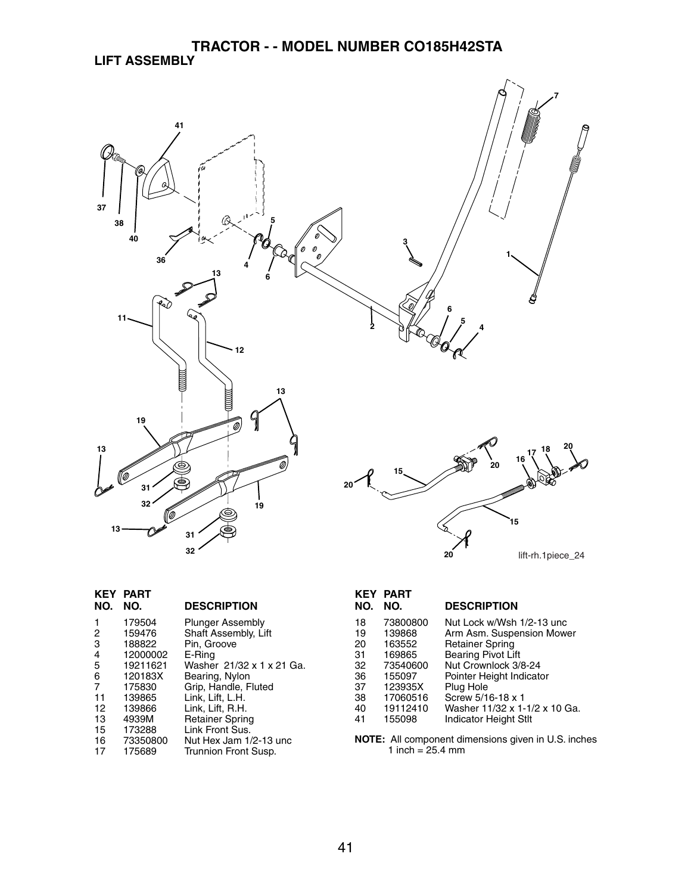## **TRACTOR - - MODEL NUMBER CO185H42STA LIFT ASSEMBLY**



| KEY<br><b>PART</b><br>NO. | <b>DESCRIPTION</b>         |
|---------------------------|----------------------------|
|                           | <b>Plunger Assembly</b>    |
|                           | Shaft Assembly, Lift       |
|                           | Pin, Groove                |
| 12000002                  | E-Ring                     |
| 19211621                  | Washer 21/32 x 1 x 21 Ga.  |
| 120183X                   | Bearing, Nylon             |
| 175830                    | Grip, Handle, Fluted       |
| 139865                    | Link, Lift, L.H.           |
| 139866                    | Link, Lift, R.H.           |
| 4939M                     | <b>Retainer Spring</b>     |
| 173288                    | Link Front Sus.            |
| 73350800                  | Nut Hex Jam 1/2-13 unc     |
| 175689                    | Trunnion Front Susp.       |
|                           | 179504<br>159476<br>188822 |

# **KEY PART**

#### **NO. NO. DESCRIPTION**

| 18 | 73800800 | Nut Lock w/Wsh 1/2-13 unc     |
|----|----------|-------------------------------|
| 19 | 139868   | Arm Asm. Suspension Mower     |
| 20 | 163552   | <b>Retainer Spring</b>        |
| 31 | 169865   | <b>Bearing Pivot Lift</b>     |
| 32 | 73540600 | Nut Crownlock 3/8-24          |
| 36 | 155097   | Pointer Height Indicator      |
| 37 | 123935X  | Plug Hole                     |
| 38 | 17060516 | Screw 5/16-18 x 1             |
| 40 | 19112410 | Washer 11/32 x 1-1/2 x 10 Ga. |
| 41 | 155098   | <b>Indicator Height Stlt</b>  |
|    |          |                               |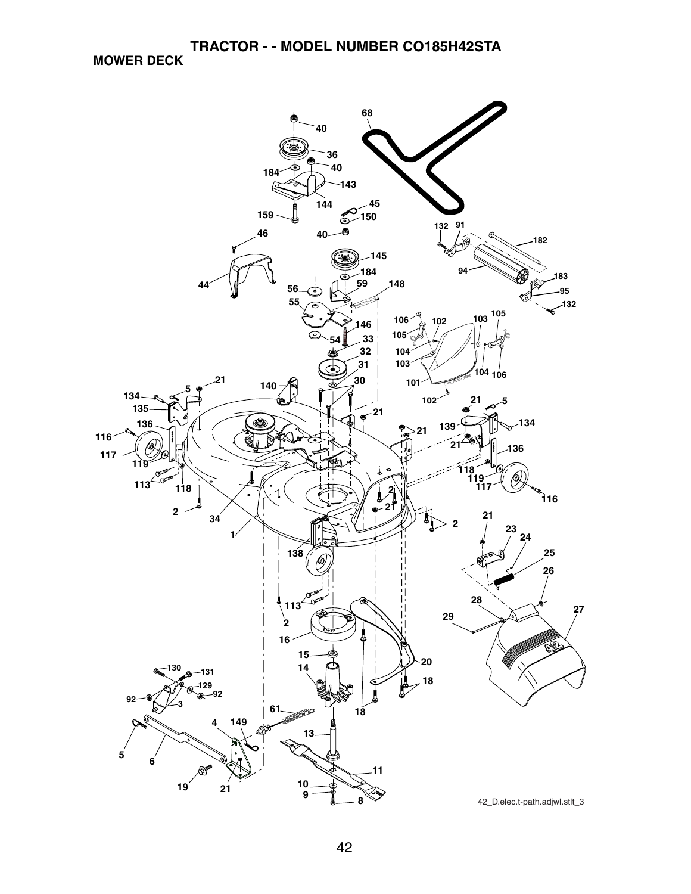**MOWER DECK**